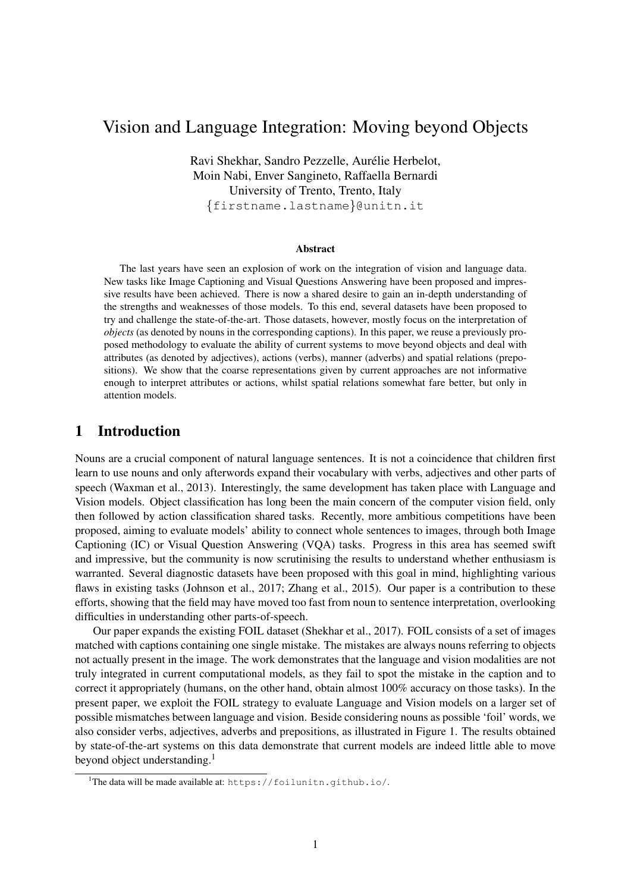# Vision and Language Integration: Moving beyond Objects

Ravi Shekhar, Sandro Pezzelle, Aurelie Herbelot, ´ Moin Nabi, Enver Sangineto, Raffaella Bernardi University of Trento, Trento, Italy {firstname.lastname}@unitn.it

#### Abstract

The last years have seen an explosion of work on the integration of vision and language data. New tasks like Image Captioning and Visual Questions Answering have been proposed and impressive results have been achieved. There is now a shared desire to gain an in-depth understanding of the strengths and weaknesses of those models. To this end, several datasets have been proposed to try and challenge the state-of-the-art. Those datasets, however, mostly focus on the interpretation of *objects* (as denoted by nouns in the corresponding captions). In this paper, we reuse a previously proposed methodology to evaluate the ability of current systems to move beyond objects and deal with attributes (as denoted by adjectives), actions (verbs), manner (adverbs) and spatial relations (prepositions). We show that the coarse representations given by current approaches are not informative enough to interpret attributes or actions, whilst spatial relations somewhat fare better, but only in attention models.

#### 1 Introduction

Nouns are a crucial component of natural language sentences. It is not a coincidence that children first learn to use nouns and only afterwords expand their vocabulary with verbs, adjectives and other parts of speech (Waxman et al., 2013). Interestingly, the same development has taken place with Language and Vision models. Object classification has long been the main concern of the computer vision field, only then followed by action classification shared tasks. Recently, more ambitious competitions have been proposed, aiming to evaluate models' ability to connect whole sentences to images, through both Image Captioning (IC) or Visual Question Answering (VQA) tasks. Progress in this area has seemed swift and impressive, but the community is now scrutinising the results to understand whether enthusiasm is warranted. Several diagnostic datasets have been proposed with this goal in mind, highlighting various flaws in existing tasks (Johnson et al., 2017; Zhang et al., 2015). Our paper is a contribution to these efforts, showing that the field may have moved too fast from noun to sentence interpretation, overlooking difficulties in understanding other parts-of-speech.

Our paper expands the existing FOIL dataset (Shekhar et al., 2017). FOIL consists of a set of images matched with captions containing one single mistake. The mistakes are always nouns referring to objects not actually present in the image. The work demonstrates that the language and vision modalities are not truly integrated in current computational models, as they fail to spot the mistake in the caption and to correct it appropriately (humans, on the other hand, obtain almost 100% accuracy on those tasks). In the present paper, we exploit the FOIL strategy to evaluate Language and Vision models on a larger set of possible mismatches between language and vision. Beside considering nouns as possible 'foil' words, we also consider verbs, adjectives, adverbs and prepositions, as illustrated in Figure 1. The results obtained by state-of-the-art systems on this data demonstrate that current models are indeed little able to move beyond object understanding.<sup>1</sup>

<sup>&</sup>lt;sup>1</sup>The data will be made available at: https://foilunitn.github.io/.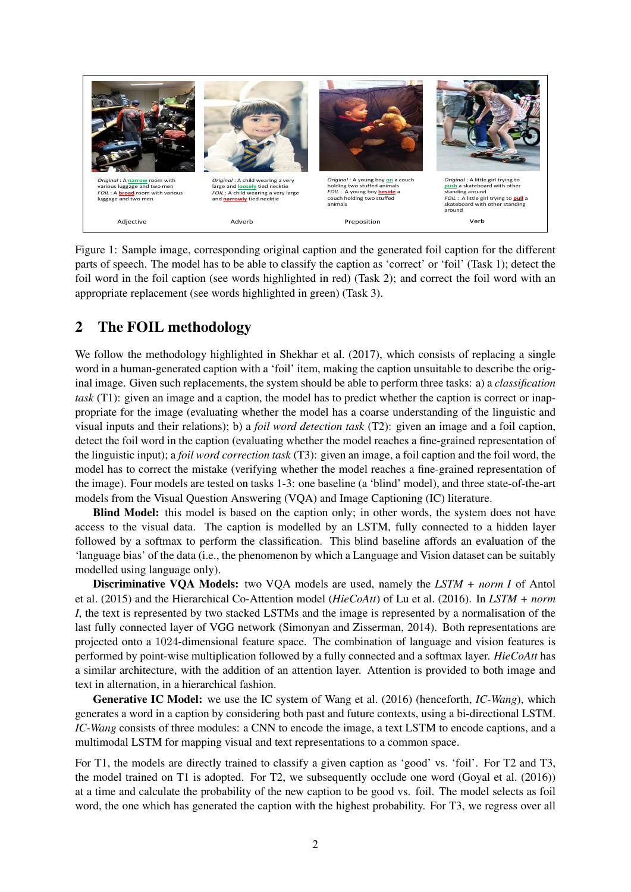

Figure 1: Sample image, corresponding original caption and the generated foil caption for the different parts of speech. The model has to be able to classify the caption as 'correct' or 'foil' (Task 1); detect the foil word in the foil caption (see words highlighted in red) (Task 2); and correct the foil word with an appropriate replacement (see words highlighted in green) (Task 3).

# 2 The FOIL methodology

We follow the methodology highlighted in Shekhar et al. (2017), which consists of replacing a single word in a human-generated caption with a 'foil' item, making the caption unsuitable to describe the original image. Given such replacements, the system should be able to perform three tasks: a) a *classification task* (T1): given an image and a caption, the model has to predict whether the caption is correct or inappropriate for the image (evaluating whether the model has a coarse understanding of the linguistic and visual inputs and their relations); b) a *foil word detection task* (T2): given an image and a foil caption, detect the foil word in the caption (evaluating whether the model reaches a fine-grained representation of the linguistic input); a *foil word correction task* (T3): given an image, a foil caption and the foil word, the model has to correct the mistake (verifying whether the model reaches a fine-grained representation of the image). Four models are tested on tasks 1-3: one baseline (a 'blind' model), and three state-of-the-art models from the Visual Question Answering (VQA) and Image Captioning (IC) literature.

Blind Model: this model is based on the caption only; in other words, the system does not have access to the visual data. The caption is modelled by an LSTM, fully connected to a hidden layer followed by a softmax to perform the classification. This blind baseline affords an evaluation of the 'language bias' of the data (i.e., the phenomenon by which a Language and Vision dataset can be suitably modelled using language only).

Discriminative VQA Models: two VQA models are used, namely the *LSTM + norm I* of Antol et al. (2015) and the Hierarchical Co-Attention model (*HieCoAtt*) of Lu et al. (2016). In *LSTM + norm I*, the text is represented by two stacked LSTMs and the image is represented by a normalisation of the last fully connected layer of VGG network (Simonyan and Zisserman, 2014). Both representations are projected onto a 1024-dimensional feature space. The combination of language and vision features is performed by point-wise multiplication followed by a fully connected and a softmax layer. *HieCoAtt* has a similar architecture, with the addition of an attention layer. Attention is provided to both image and text in alternation, in a hierarchical fashion.

Generative IC Model: we use the IC system of Wang et al. (2016) (henceforth, *IC-Wang*), which generates a word in a caption by considering both past and future contexts, using a bi-directional LSTM. *IC-Wang* consists of three modules: a CNN to encode the image, a text LSTM to encode captions, and a multimodal LSTM for mapping visual and text representations to a common space.

For T1, the models are directly trained to classify a given caption as 'good' vs. 'foil'. For T2 and T3, the model trained on T1 is adopted. For T2, we subsequently occlude one word (Goyal et al. (2016)) at a time and calculate the probability of the new caption to be good vs. foil. The model selects as foil word, the one which has generated the caption with the highest probability. For T3, we regress over all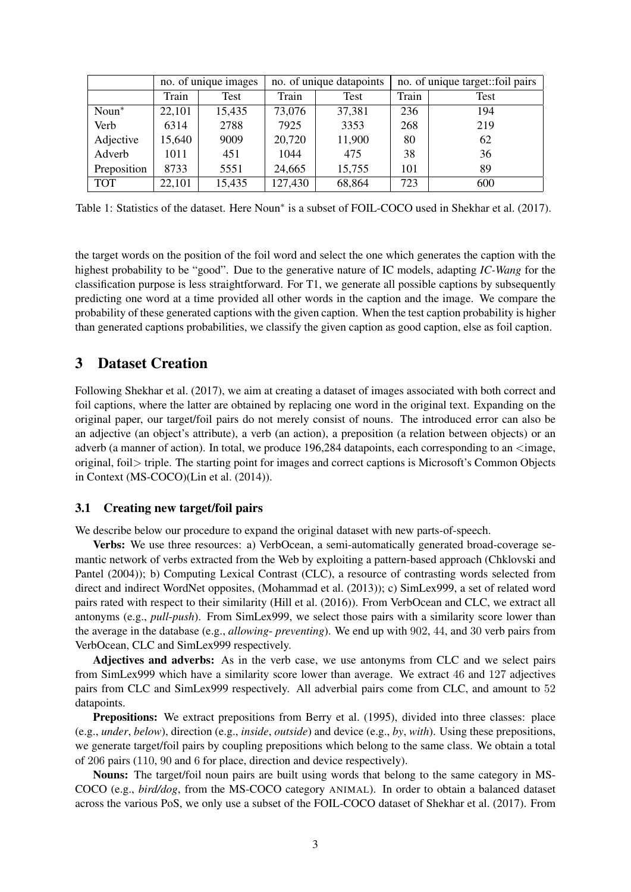|             | no. of unique images |        |         | no. of unique datapoints | no. of unique target: foil pairs |             |  |
|-------------|----------------------|--------|---------|--------------------------|----------------------------------|-------------|--|
|             | Train                | Test   | Train   | Test                     | Train                            | <b>Test</b> |  |
| $Noun^*$    | 22,101               | 15,435 | 73,076  | 37,381                   | 236                              | 194         |  |
| Verb        | 6314                 | 2788   | 7925    | 3353                     | 268                              | 219         |  |
| Adjective   | 15,640               | 9009   | 20,720  | 11,900                   | 80                               | 62          |  |
| Adverb      | 1011                 | 451    | 1044    | 475                      | 38                               | 36          |  |
| Preposition | 8733                 | 5551   | 24,665  | 15,755                   | 101                              | 89          |  |
| <b>TOT</b>  | 22,101               | 15,435 | 127,430 | 68,864                   | 723                              | 600         |  |

Table 1: Statistics of the dataset. Here Noun<sup>\*</sup> is a subset of FOIL-COCO used in Shekhar et al. (2017).

the target words on the position of the foil word and select the one which generates the caption with the highest probability to be "good". Due to the generative nature of IC models, adapting *IC-Wang* for the classification purpose is less straightforward. For T1, we generate all possible captions by subsequently predicting one word at a time provided all other words in the caption and the image. We compare the probability of these generated captions with the given caption. When the test caption probability is higher than generated captions probabilities, we classify the given caption as good caption, else as foil caption.

#### 3 Dataset Creation

Following Shekhar et al. (2017), we aim at creating a dataset of images associated with both correct and foil captions, where the latter are obtained by replacing one word in the original text. Expanding on the original paper, our target/foil pairs do not merely consist of nouns. The introduced error can also be an adjective (an object's attribute), a verb (an action), a preposition (a relation between objects) or an adverb (a manner of action). In total, we produce  $196,284$  datapoints, each corresponding to an  $\leq$ image, original, foil> triple. The starting point for images and correct captions is Microsoft's Common Objects in Context (MS-COCO)(Lin et al. (2014)).

#### 3.1 Creating new target/foil pairs

We describe below our procedure to expand the original dataset with new parts-of-speech.

Verbs: We use three resources: a) VerbOcean, a semi-automatically generated broad-coverage semantic network of verbs extracted from the Web by exploiting a pattern-based approach (Chklovski and Pantel (2004)); b) Computing Lexical Contrast (CLC), a resource of contrasting words selected from direct and indirect WordNet opposites, (Mohammad et al. (2013)); c) SimLex999, a set of related word pairs rated with respect to their similarity (Hill et al. (2016)). From VerbOcean and CLC, we extract all antonyms (e.g., *pull*-*push*). From SimLex999, we select those pairs with a similarity score lower than the average in the database (e.g., *allowing*- *preventing*). We end up with 902, 44, and 30 verb pairs from VerbOcean, CLC and SimLex999 respectively.

Adjectives and adverbs: As in the verb case, we use antonyms from CLC and we select pairs from SimLex999 which have a similarity score lower than average. We extract 46 and 127 adjectives pairs from CLC and SimLex999 respectively. All adverbial pairs come from CLC, and amount to 52 datapoints.

Prepositions: We extract prepositions from Berry et al. (1995), divided into three classes: place (e.g., *under*, *below*), direction (e.g., *inside*, *outside*) and device (e.g., *by*, *with*). Using these prepositions, we generate target/foil pairs by coupling prepositions which belong to the same class. We obtain a total of 206 pairs (110, 90 and 6 for place, direction and device respectively).

Nouns: The target/foil noun pairs are built using words that belong to the same category in MS-COCO (e.g., *bird/dog*, from the MS-COCO category ANIMAL). In order to obtain a balanced dataset across the various PoS, we only use a subset of the FOIL-COCO dataset of Shekhar et al. (2017). From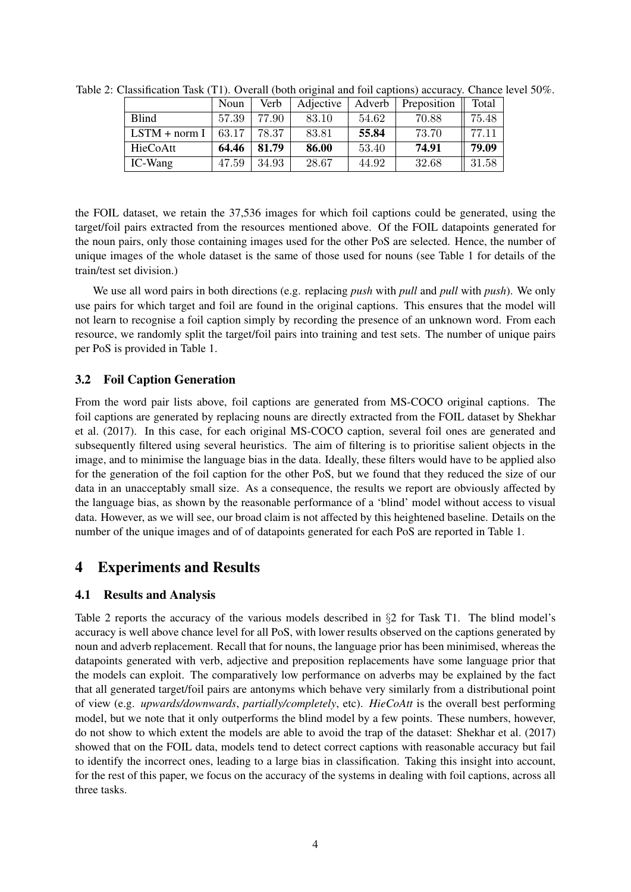|                 | Noun  | Verb  | Adjective | Adverb | Preposition | Total |
|-----------------|-------|-------|-----------|--------|-------------|-------|
| <b>Blind</b>    | 57.39 | 77.90 | 83.10     | 54.62  | 70.88       | 75.48 |
| $LSTM + norm I$ | 63.17 | 78.37 | 83.81     | 55.84  | 73.70       | 77.11 |
| HieCoAtt        | 64.46 | 81.79 | 86.00     | 53.40  | 74.91       | 79.09 |
| IC-Wang         | 47.59 | 34.93 | 28.67     | 44.92  | 32.68       | 31.58 |

Table 2: Classification Task (T1). Overall (both original and foil captions) accuracy. Chance level 50%.

the FOIL dataset, we retain the 37,536 images for which foil captions could be generated, using the target/foil pairs extracted from the resources mentioned above. Of the FOIL datapoints generated for the noun pairs, only those containing images used for the other PoS are selected. Hence, the number of unique images of the whole dataset is the same of those used for nouns (see Table 1 for details of the train/test set division.)

We use all word pairs in both directions (e.g. replacing *push* with *pull* and *pull* with *push*). We only use pairs for which target and foil are found in the original captions. This ensures that the model will not learn to recognise a foil caption simply by recording the presence of an unknown word. From each resource, we randomly split the target/foil pairs into training and test sets. The number of unique pairs per PoS is provided in Table 1.

### 3.2 Foil Caption Generation

From the word pair lists above, foil captions are generated from MS-COCO original captions. The foil captions are generated by replacing nouns are directly extracted from the FOIL dataset by Shekhar et al. (2017). In this case, for each original MS-COCO caption, several foil ones are generated and subsequently filtered using several heuristics. The aim of filtering is to prioritise salient objects in the image, and to minimise the language bias in the data. Ideally, these filters would have to be applied also for the generation of the foil caption for the other PoS, but we found that they reduced the size of our data in an unacceptably small size. As a consequence, the results we report are obviously affected by the language bias, as shown by the reasonable performance of a 'blind' model without access to visual data. However, as we will see, our broad claim is not affected by this heightened baseline. Details on the number of the unique images and of of datapoints generated for each PoS are reported in Table 1.

# 4 Experiments and Results

# 4.1 Results and Analysis

Table 2 reports the accuracy of the various models described in §2 for Task T1. The blind model's accuracy is well above chance level for all PoS, with lower results observed on the captions generated by noun and adverb replacement. Recall that for nouns, the language prior has been minimised, whereas the datapoints generated with verb, adjective and preposition replacements have some language prior that the models can exploit. The comparatively low performance on adverbs may be explained by the fact that all generated target/foil pairs are antonyms which behave very similarly from a distributional point of view (e.g. *upwards/downwards*, *partially/completely*, etc). *HieCoAtt* is the overall best performing model, but we note that it only outperforms the blind model by a few points. These numbers, however, do not show to which extent the models are able to avoid the trap of the dataset: Shekhar et al. (2017) showed that on the FOIL data, models tend to detect correct captions with reasonable accuracy but fail to identify the incorrect ones, leading to a large bias in classification. Taking this insight into account, for the rest of this paper, we focus on the accuracy of the systems in dealing with foil captions, across all three tasks.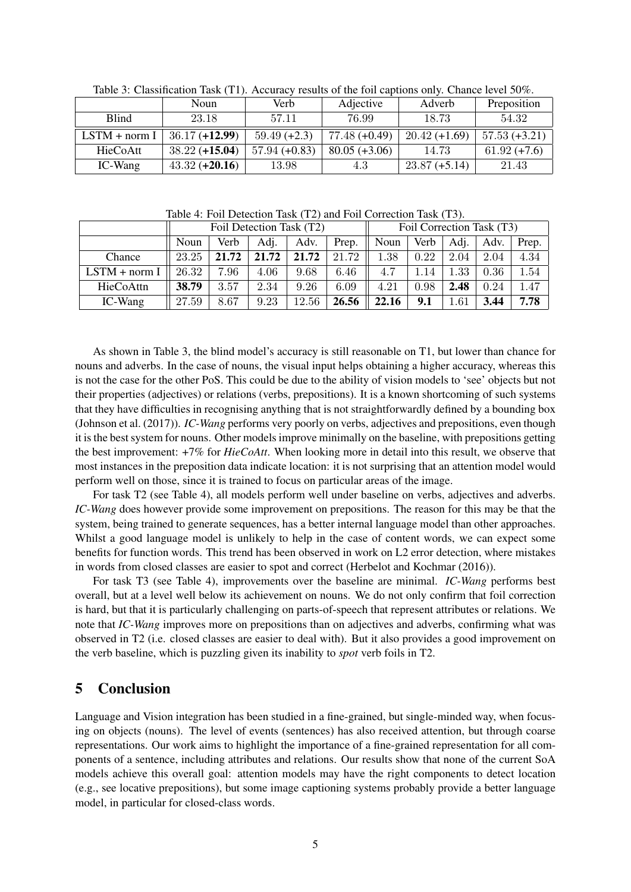|                 | Noun             | Verb            | Adjective       | Adverb          | Preposition     |  |
|-----------------|------------------|-----------------|-----------------|-----------------|-----------------|--|
| <b>Blind</b>    | 23.18            | 57.11           | 76.99           | 18.73           | 54.32           |  |
| $LSTM + norm I$ | $36.17 (+12.99)$ | $59.49 (+2.3)$  | $77.48(+0.49)$  | $20.42 (+1.69)$ | $57.53 (+3.21)$ |  |
| HieCoAtt        | $38.22 (+15.04)$ | $57.94 (+0.83)$ | $80.05 (+3.06)$ | 14.73           | $61.92 (+7.6)$  |  |
| IC-Wang         | $43.32 (+20.16)$ | 13.98           | 4.3             | $23.87 (+5.14)$ | 21.43           |  |

Table 3: Classification Task (T1). Accuracy results of the foil captions only. Chance level 50%.

Table 4: Foil Detection Task (T2) and Foil Correction Task (T3).

|                 | Foil Detection Task (T2) |       |       |       |       | Foil Correction Task (T3) |      |      |      |       |
|-----------------|--------------------------|-------|-------|-------|-------|---------------------------|------|------|------|-------|
|                 | Noun                     | Verb  | Adi.  | Adv.  | Prep. | Noun                      | Verb | Adj. | Adv. | Prep. |
| Chance          | 23.25                    | 21.72 | 21.72 | 21.72 | 21.72 | $1.38\,$                  | 0.22 | 2.04 | 2.04 | 4.34  |
| $LSTM + norm I$ | 26.32                    | 7.96  | 4.06  | 9.68  | 6.46  | 4.7                       | 1.14 | 1.33 | 0.36 | 1.54  |
| HieCoAttn       | 38.79                    | 3.57  | 2.34  | 9.26  | 6.09  | 4.21                      | 0.98 | 2.48 | 0.24 | 1.47  |
| IC-Wang         | 27.59                    | 8.67  | 9.23  | 12.56 | 26.56 | 22.16                     | 9.1  | 1.61 | 3.44 | 7.78  |

As shown in Table 3, the blind model's accuracy is still reasonable on T1, but lower than chance for nouns and adverbs. In the case of nouns, the visual input helps obtaining a higher accuracy, whereas this is not the case for the other PoS. This could be due to the ability of vision models to 'see' objects but not their properties (adjectives) or relations (verbs, prepositions). It is a known shortcoming of such systems that they have difficulties in recognising anything that is not straightforwardly defined by a bounding box (Johnson et al. (2017)). *IC-Wang* performs very poorly on verbs, adjectives and prepositions, even though it is the best system for nouns. Other models improve minimally on the baseline, with prepositions getting the best improvement: +7% for *HieCoAtt*. When looking more in detail into this result, we observe that most instances in the preposition data indicate location: it is not surprising that an attention model would perform well on those, since it is trained to focus on particular areas of the image.

For task T2 (see Table 4), all models perform well under baseline on verbs, adjectives and adverbs. *IC-Wang* does however provide some improvement on prepositions. The reason for this may be that the system, being trained to generate sequences, has a better internal language model than other approaches. Whilst a good language model is unlikely to help in the case of content words, we can expect some benefits for function words. This trend has been observed in work on L2 error detection, where mistakes in words from closed classes are easier to spot and correct (Herbelot and Kochmar (2016)).

For task T3 (see Table 4), improvements over the baseline are minimal. *IC-Wang* performs best overall, but at a level well below its achievement on nouns. We do not only confirm that foil correction is hard, but that it is particularly challenging on parts-of-speech that represent attributes or relations. We note that *IC-Wang* improves more on prepositions than on adjectives and adverbs, confirming what was observed in T2 (i.e. closed classes are easier to deal with). But it also provides a good improvement on the verb baseline, which is puzzling given its inability to *spot* verb foils in T2.

# 5 Conclusion

Language and Vision integration has been studied in a fine-grained, but single-minded way, when focusing on objects (nouns). The level of events (sentences) has also received attention, but through coarse representations. Our work aims to highlight the importance of a fine-grained representation for all components of a sentence, including attributes and relations. Our results show that none of the current SoA models achieve this overall goal: attention models may have the right components to detect location (e.g., see locative prepositions), but some image captioning systems probably provide a better language model, in particular for closed-class words.